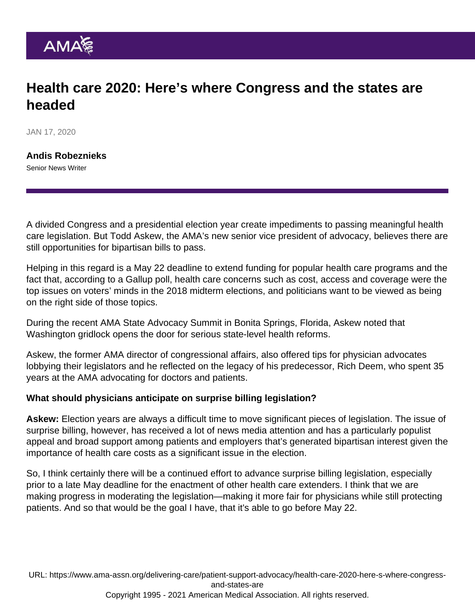## Health care 2020: Here's where Congress and the states are headed

JAN 17, 2020

[Andis Robeznieks](https://www.ama-assn.org/news-leadership-viewpoints/authors-news-leadership-viewpoints/andis-robeznieks) Senior News Writer

A divided Congress and a presidential election year create impediments to passing meaningful health care legislation. But Todd Askew, the AMA's new senior vice president of advocacy, believes there are still opportunities for bipartisan bills to pass.

Helping in this regard is a May 22 deadline to extend funding for popular health care programs and the fact that, according to a Gallup poll, health care concerns such as cost, access and coverage were the top issues on voters' minds in the [2018 midterm elections,](https://www.ama-assn.org/delivering-care/patient-support-advocacy/5-ways-midterms-shook-us-health-care-agenda-2019) and politicians want to be viewed as being on the right side of those topics.

During the recent AMA [State Advocacy Summit](https://www.ama-assn.org/system/files/2020-01/2020-sas-agenda.pdf) in Bonita Springs, Florida, Askew noted that Washington gridlock opens the door for serious state-level health reforms.

Askew, the former AMA director of congressional affairs, also offered [tips for physician advocates](https://www.ama-assn.org/sites/ama-assn.org/files/corp/media-browser/public/washington/communicating-with-congress_0.pdf) [lobbying their legislators](https://www.ama-assn.org/sites/ama-assn.org/files/corp/media-browser/public/washington/communicating-with-congress_0.pdf) and he reflected on the legacy of his predecessor, Rich Deem, who spent 35 years at the AMA advocating for doctors and patients.

What should physicians anticipate on surprise billing legislation?

Askew: Election years are always a difficult time to move significant pieces of legislation. The issue of [surprise billing,](https://www.ama-assn.org/delivering-care/patient-support-advocacy/push-prevent-surprise-billing-8-things-know) however, has received a lot of news media attention and has a particularly populist appeal and broad support among patients and employers that's generated bipartisan interest given the importance of health care costs as a significant issue in the election.

So, I think certainly there will be a continued effort to advance surprise billing legislation, especially prior to a late May deadline for the enactment of other health care extenders. I think that we are making progress in moderating the legislation—making it more fair for physicians while still protecting patients. And so that would be the goal I have, that it's able to go before May 22.

URL: [https://www.ama-assn.org/delivering-care/patient-support-advocacy/health-care-2020-here-s-where-congress](https://www.ama-assn.org/delivering-care/patient-support-advocacy/health-care-2020-here-s-where-congress-and-states-are)[and-states-are](https://www.ama-assn.org/delivering-care/patient-support-advocacy/health-care-2020-here-s-where-congress-and-states-are) Copyright 1995 - 2021 American Medical Association. All rights reserved.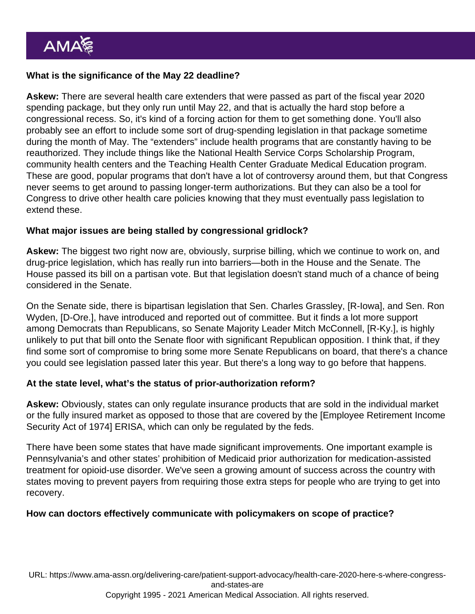What is the significance of the May 22 deadline?

Askew: There are several health care extenders that were passed as part of the [fiscal year 2020](https://assets.ama-assn.org/sub/advocacy-update/2019-12-19.html#issuespotlight) [spending package](https://assets.ama-assn.org/sub/advocacy-update/2019-12-19.html#issuespotlight), but they only run until May 22, and that is actually the hard stop before a congressional recess. So, it's kind of a forcing action for them to get something done. You'll also probably see an effort to include some sort of drug-spending legislation in that package sometime during the month of May. The "extenders" include health programs that are constantly having to be reauthorized. They include things like the [National Health Service Corps Scholarship Program,](https://www.ama-assn.org/residents-students/preparing-medical-school/are-medical-school-service-scholarships-right-you) community health centers and the Teaching Health Center Graduate Medical Education program. These are good, popular programs that don't have a lot of controversy around them, but that Congress never seems to get around to passing longer-term authorizations. But they can also be a tool for Congress to drive other health care policies knowing that they must eventually pass legislation to extend these.

What major issues are being stalled by congressional gridlock?

Askew: The biggest two right now are, obviously, surprise billing, which we continue to work on, and drug-price legislation, which has really run into barriers—both in the House and the Senate. The House passed its bill on a partisan vote. But that legislation doesn't stand much of a chance of being considered in the Senate.

On the Senate side, there is bipartisan legislation that Sen. Charles Grassley, [R-Iowa], and Sen. Ron Wyden, [D-Ore.], have introduced and reported out of committee. But it finds a lot more support among Democrats than Republicans, so Senate Majority Leader Mitch McConnell, [R-Ky.], is highly unlikely to put that bill onto the Senate floor with significant Republican opposition. I think that, if they find some sort of compromise to bring some more Senate Republicans on board, that there's a chance you could see legislation passed later this year. But there's a long way to go before that happens.

At the state level, what's the status of prior-authorization reform?

Askew: Obviously, states can only regulate insurance products that are sold in the individual market or the fully insured market as opposed to those that are covered by the [Employee Retirement Income Security Act of 1974] ERISA, which can only be regulated by the feds.

There have been some states that have made significant improvements. One important example is [Pennsylvania's](https://www.ama-assn.org/practice-management/sustainability/saving-time-and-lives-increased-access-mat-pennsylvania) and other states' prohibition of Medicaid prior authorization for medication-assisted treatment for opioid-use disorder. We've seen a growing amount of success across the country with states moving to prevent payers from requiring those extra steps for people who are trying to get into recovery.

How can doctors effectively communicate with policymakers on scope of practice?

URL: [https://www.ama-assn.org/delivering-care/patient-support-advocacy/health-care-2020-here-s-where-congress](https://www.ama-assn.org/delivering-care/patient-support-advocacy/health-care-2020-here-s-where-congress-and-states-are)[and-states-are](https://www.ama-assn.org/delivering-care/patient-support-advocacy/health-care-2020-here-s-where-congress-and-states-are)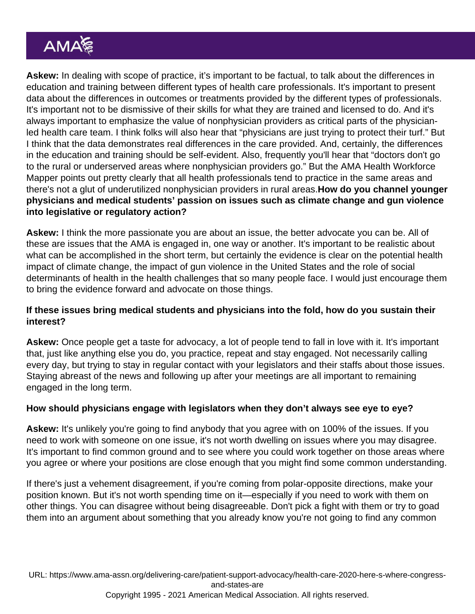Askew: In dealing with scope of practice, it's important to be factual, to talk about the differences in education and training between different types of health care professionals. It's important to present data about the differences in outcomes or treatments provided by the different types of professionals. It's important not to be dismissive of their skills for what they are trained and licensed to do. And it's always important to emphasize the value of nonphysician providers as critical parts of the physicianled health care team. I think folks will also hear that "physicians are just trying to protect their turf." But I think that the data demonstrates real differences in the care provided. And, certainly, the differences in the education and training should be self-evident. Also, frequently you'll hear that "doctors don't go to the rural or underserved areas where nonphysician providers go." But the [AMA Health Workforce](https://www.ama-assn.org/residents-students/transition-practice/ama-mapping-tool-identifies-where-workforce-needs-are) [Mapper](https://www.ama-assn.org/residents-students/transition-practice/ama-mapping-tool-identifies-where-workforce-needs-are) points out pretty clearly that all health professionals tend to practice in the same areas and there's not a glut of underutilized nonphysician providers in rural areas.How do you channel younger physicians and medical students' passion on issues such as climate change and gun violence into legislative or regulatory action?

Askew: I think the more passionate you are about an issue, the better advocate you can be. All of these are issues that the AMA is engaged in, one way or another. It's important to be realistic about what can be accomplished in the short term, but certainly the evidence is clear on the potential health impact of climate change, the impact of gun violence in the United States and the role of social determinants of health in the health challenges that so many people face. I would just encourage them to bring the evidence forward and advocate on those things.

If these issues bring medical students and physicians into the fold, how do you sustain their interest?

Askew: Once people get a taste for advocacy, a lot of people tend to fall in love with it. It's important that, just like anything else you do, you practice, repeat and stay engaged. Not necessarily calling every day, but trying to stay in regular contact with your legislators and their staffs about those issues. Staying abreast of the news and following up after your meetings are all important to remaining engaged in the long term.

How should physicians engage with legislators when they don't always see eye to eye?

Askew: It's unlikely you're going to find anybody that you agree with on 100% of the issues. If you need to work with someone on one issue, it's not worth dwelling on issues where you may disagree. It's important to find common ground and to see where you could work together on those areas where you agree or where your positions are close enough that you might find some common understanding.

If there's just a vehement disagreement, if you're coming from polar-opposite directions, make your position known. But it's not worth spending time on it—especially if you need to work with them on other things. You can disagree without being disagreeable. Don't pick a fight with them or try to goad them into an argument about something that you already know you're not going to find any common

URL: [https://www.ama-assn.org/delivering-care/patient-support-advocacy/health-care-2020-here-s-where-congress](https://www.ama-assn.org/delivering-care/patient-support-advocacy/health-care-2020-here-s-where-congress-and-states-are)[and-states-are](https://www.ama-assn.org/delivering-care/patient-support-advocacy/health-care-2020-here-s-where-congress-and-states-are) Copyright 1995 - 2021 American Medical Association. All rights reserved.